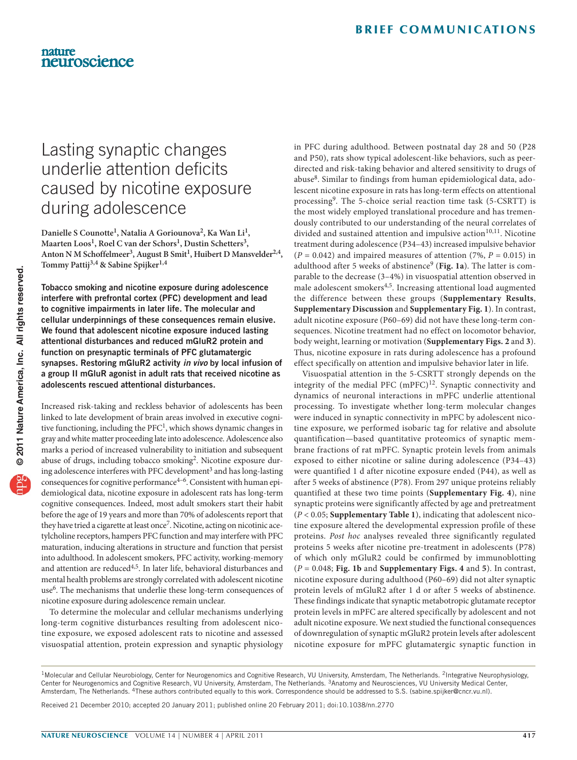# Lasting synaptic changes underlie attention deficits caused by nicotine exposure during adolescence

Danielle S Counotte<sup>1</sup>, Natalia A Goriounova<sup>2</sup>, Ka Wan Li<sup>1</sup>, Maarten Loos<sup>1</sup>, Roel C van der Schors<sup>1</sup>, Dustin Schetters<sup>3</sup>, Anton N M Schoffelmeer<sup>3</sup>, August B Smit<sup>1</sup>, Huibert D Mansvelder<sup>2,4</sup>, **Tommy Pattij3,4 & Sabine Spijker1,4**

Tobacco smoking and nicotine exposure during adolescence interfere with prefrontal cortex (PFC) development and lead to cognitive impairments in later life. The molecular and cellular underpinnings of these consequences remain elusive. We found that adolescent nicotine exposure induced lasting attentional disturbances and reduced mGluR2 protein and function on presynaptic terminals of PFC glutamatergic synapses. Restoring mGluR2 activity *in vivo* by local infusion of a group II mGluR agonist in adult rats that received nicotine as adolescents rescued attentional disturbances.

Increased risk-taking and reckless behavior of adolescents has been linked to late development of brain areas involved in executive cognitive functioning, including the PF[C1](#page-2-0), which shows dynamic changes in gray and white matter proceeding late into adolescence. Adolescence also marks a period of increased vulnerability to initiation and subsequent abuse of drugs, including tobacco smoking<sup>[2](#page-2-1)</sup>. Nicotine exposure during adolescence interferes with PFC development<sup>3</sup> and has long-lasting consequences for cognitive performance<sup>4-6</sup>. Consistent with human epidemiological data, nicotine exposure in adolescent rats has long-term cognitive consequences. Indeed, most adult smokers start their habit before the age of 19 years and more than 70% of adolescents report that they have tried a cigarette at least once<sup>7</sup>. Nicotine, acting on nicotinic acetylcholine receptors, hampers PFC function and may interfere with PFC maturation, inducing alterations in structure and function that persist into adulthood. In adolescent smokers, PFC activity, working-memory and attention are reduced<sup>4,5</sup>. In later life, behavioral disturbances and mental health problems are strongly correlated with adolescent nicotine use<sup>6</sup>. The mechanisms that underlie these long-term consequences of nicotine exposure during adolescence remain unclear.

To determine the molecular and cellular mechanisms underlying long-term cognitive disturbances resulting from adolescent nicotine exposure, we exposed adolescent rats to nicotine and assessed visuospatial attention, protein expression and synaptic physiology

in PFC during adulthood. Between postnatal day 28 and 50 (P28 and P50), rats show typical adolescent-like behaviors, such as peerdirected and risk-taking behavior and altered sensitivity to drugs of abuse<sup>8</sup>. Similar to findings from human epidemiological data, adolescent nicotine exposure in rats has long-term effects on attentional processing<sup>9</sup>. The 5-choice serial reaction time task (5-CSRTT) is the most widely employed translational procedure and has tremendously contributed to our understanding of the neural correlates of divided and sustained attention and impulsive action<sup>10,11</sup>. Nicotine treatment during adolescence (P34–43) increased impulsive behavior  $(P = 0.042)$  and impaired measures of attention  $(7\%, P = 0.015)$  in adulthood after 5 weeks of abstinence<sup>[9](#page-2-6)</sup> ([Fig. 1a](#page-1-0)). The latter is comparable to the decrease (3–4%) in visuospatial attention observed in male adolescent smokers4,5. Increasing attentional load augmented the difference between these groups (**Supplementary Results**, **Supplementary Discussion** and **Supplementary Fig. 1**). In contrast, adult nicotine exposure (P60–69) did not have these long-term consequences. Nicotine treatment had no effect on locomotor behavior, body weight, learning or motivation (**Supplementary Figs. 2** and **3**). Thus, nicotine exposure in rats during adolescence has a profound effect specifically on attention and impulsive behavior later in life.

Visuospatial attention in the 5-CSRTT strongly depends on the integrity of the medial PFC  $(mPFC)^{12}$  $(mPFC)^{12}$  $(mPFC)^{12}$ . Synaptic connectivity and dynamics of neuronal interactions in mPFC underlie attentional processing. To investigate whether long-term molecular changes were induced in synaptic connectivity in mPFC by adolescent nicotine exposure, we performed isobaric tag for relative and absolute quantification—based quantitative proteomics of synaptic membrane fractions of rat mPFC. Synaptic protein levels from animals exposed to either nicotine or saline during adolescence (P34–43) were quantified 1 d after nicotine exposure ended (P44), as well as after 5 weeks of abstinence (P78). From 297 unique proteins reliably quantified at these two time points (**Supplementary Fig. 4**), nine synaptic proteins were significantly affected by age and pretreatment (*P* < 0.05; **Supplementary Table 1**), indicating that adolescent nicotine exposure altered the developmental expression profile of these proteins. *Post hoc* analyses revealed three significantly regulated proteins 5 weeks after nicotine pre-treatment in adolescents (P78) of which only mGluR2 could be confirmed by immunoblotting (*P* = 0.048; **[Fig. 1b](#page-1-0)** and **Supplementary Figs. 4** and **5**). In contrast, nicotine exposure during adulthood (P60–69) did not alter synaptic protein levels of mGluR2 after 1 d or after 5 weeks of abstinence. These findings indicate that synaptic metabotropic glutamate receptor protein levels in mPFC are altered specifically by adolescent and not adult nicotine exposure. We next studied the functional consequences of downregulation of synaptic mGluR2 protein levels after adolescent nicotine exposure for mPFC glutamatergic synaptic function in

Received 21 December 2010; accepted 20 January 2011; published online 20 February 2011; [doi:10.1038/nn.2770](http://www.nature.com/doifinder/10.1038/nn.2770)

<sup>&</sup>lt;sup>1</sup>Molecular and Cellular Neurobiology, Center for Neurogenomics and Cognitive Research, VU University, Amsterdam, The Netherlands. <sup>2</sup>Integrative Neurophysiology, Center for Neurogenomics and Cognitive Research, VU University, Amsterdam, The Netherlands. 3Anatomy and Neurosciences, VU University Medical Center, Amsterdam, The Netherlands. 4These authors contributed equally to this work. Correspondence should be addressed to S.S. (sabine.spijker@cncr.vu.nl).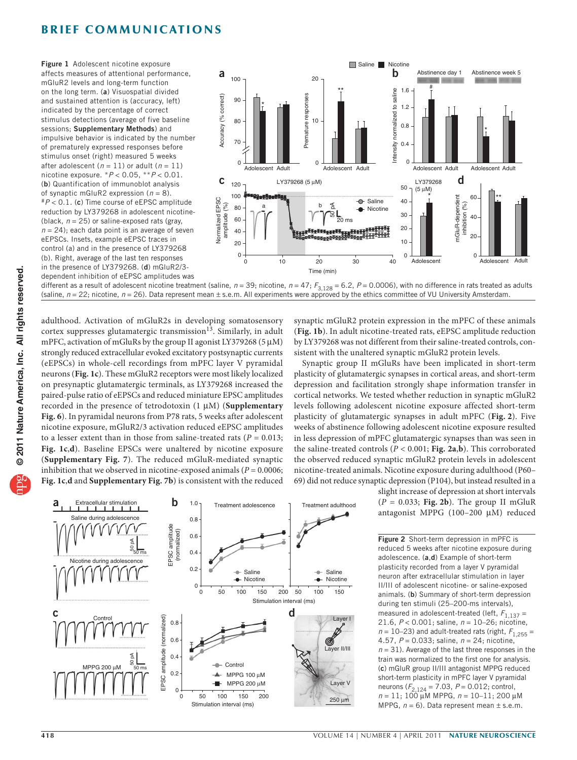## **BRIEF COMMUNICATIONS**

<span id="page-1-0"></span>Figure 1 Adolescent nicotine exposure affects measures of attentional performance, mGluR2 levels and long-term function on the long term. (a) Visuospatial divided and sustained attention is (accuracy, left) indicated by the percentage of correct stimulus detections (average of five baseline sessions; Supplementary Methods) and impulsive behavior is indicated by the number of prematurely expressed responses before stimulus onset (right) measured 5 weeks after adolescent  $(n = 11)$  or adult  $(n = 11)$ nicotine exposure. \**P* < 0.05, \*\**P* < 0.01. (b) Quantification of immunoblot analysis of synaptic mGluR2 expression  $(n = 8)$ .<br># $P < 0.1$ . (c) Time course of eEPSC amplitude reduction by LY379268 in adolescent nicotine- (black,  $n = 25$ ) or saline-exposed rats (gray,  $n = 24$ ; each data point is an average of seven eEPSCs. Insets, example eEPSC traces in control (a) and in the presence of LY379268 (b). Right, average of the last ten responses in the presence of LY379268. (d) mGluR2/3 dependent inhibition of eEPSC amplitudes was



different as a result of adolescent nicotine treatment (saline, *n* = 39; nicotine, *n* = 47;  $F_{3,128}$  = 6.2, *P* = 0.0006), with no difference in rats treated as adults (saline,  $n = 22$ ; nicotine,  $n = 26$ ). Data represent mean  $\pm$  s.e.m. All experiments were approved by the ethics committee of VU University Amsterdam.

adulthood. Activation of mGluR2s in developing somatosensory cortex suppresses glutamatergic transmission<sup>[13](#page-2-8)</sup>. Similarly, in adult mPFC, activation of mGluRs by the group II agonist LY379268 (5 µM) strongly reduced extracellular evoked excitatory postsynaptic currents (eEPSCs) in whole-cell recordings from mPFC layer V pyramidal neurons (**[Fig. 1c](#page-1-0)**). These mGluR2 receptors were most likely localized on presynaptic glutamatergic terminals, as LY379268 increased the paired-pulse ratio of eEPSCs and reduced miniature EPSC amplitudes recorded in the presence of tetrodotoxin (1 µM) (**Supplementary Fig. 6**). In pyramidal neurons from P78 rats, 5 weeks after adolescent nicotine exposure, mGluR2/3 activation reduced eEPSC amplitudes to a lesser extent than in those from saline-treated rats  $(P = 0.013;$ **[Fig. 1c](#page-1-0)**,**d**). Baseline EPSCs were unaltered by nicotine exposure (**Supplementary Fig. 7**). The reduced mGluR-mediated synaptic inhibition that we observed in nicotine-exposed animals ( $P = 0.0006$ ; **[Fig. 1c](#page-1-0)**,**d** and **Supplementary Fig. 7b**) is consistent with the reduced



Synaptic group II mGluRs have been implicated in short-term plasticity of glutamatergic synapses in cortical areas, and short-term depression and facilitation strongly shape information transfer in cortical networks. We tested whether reduction in synaptic mGluR2 levels following adolescent nicotine exposure affected short-term plasticity of glutamatergic synapses in adult mPFC (**[Fig.](#page-1-1) 2**). Five weeks of abstinence following adolescent nicotine exposure resulted in less depression of mPFC glutamatergic synapses than was seen in the saline-treated controls (*P* < 0.001; **[Fig. 2a](#page-1-1)**,**b**). This corroborated the observed reduced synaptic mGluR2 protein levels in adolescent nicotine-treated animals. Nicotine exposure during adulthood (P60– 69) did not reduce synaptic depression (P104), but instead resulted in a

> slight increase of depression at short intervals (*P* = 0.033; **[Fig.](#page-1-1) 2b**). The group II mGluR antagonist MPPG (100–200 µM) reduced

> <span id="page-1-1"></span>Figure 2 Short-term depression in mPFC is reduced 5 weeks after nicotine exposure during adolescence. (a,d) Example of short-term plasticity recorded from a layer V pyramidal neuron after extracellular stimulation in layer II/III of adolescent nicotine- or saline-exposed animals. (b) Summary of short-term depression during ten stimuli (25–200-ms intervals), measured in adolescent-treated (left,  $F_{1,137}$  = 21.6, *P* < 0.001; saline, *n* = 10–26; nicotine,  $n = 10-23$ ) and adult-treated rats (right,  $F_{1,255} =$ 4.57, *P* = 0.033; saline, *n* = 24; nicotine, *n* = 31). Average of the last three responses in the train was normalized to the first one for analysis. (c) mGluR group II/III antagonist MPPG reduced short-term plasticity in mPFC layer V pyramidal neurons (*F*2,124 = 7.03, *P* = 0.012; control, *n* = 11; 100 µM MPPG, *n* = 10–11; 200 µM MPPG,  $n = 6$ ). Data represent mean  $\pm$  s.e.m.